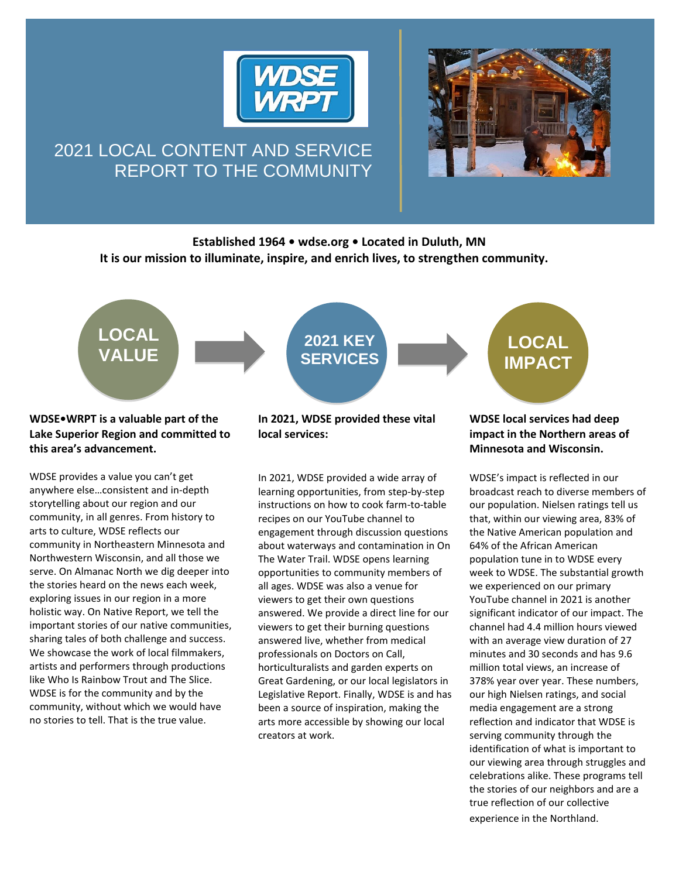

# 2021 LOCAL CONTENT AND SERVICE REPORT TO THE COMMUNITY



## **Established 1964 • wdse.org • Located in Duluth, MN It is our mission to illuminate, inspire, and enrich lives, to strengthen community.**



### **WDSE•WRPT is a valuable part of the Lake Superior Region and committed to this area's advancement.**

WDSE provides a value you can't get anywhere else…consistent and in-depth storytelling about our region and our community, in all genres. From history to arts to culture, WDSE reflects our community in Northeastern Minnesota and Northwestern Wisconsin, and all those we serve. On Almanac North we dig deeper into the stories heard on the news each week, exploring issues in our region in a more holistic way. On Native Report, we tell the important stories of our native communities, sharing tales of both challenge and success. We showcase the work of local filmmakers, artists and performers through productions like Who Is Rainbow Trout and The Slice. WDSE is for the community and by the community, without which we would have no stories to tell. That is the true value.

### **In 2021, WDSE provided these vital local services:**

In 2021, WDSE provided a wide array of learning opportunities, from step-by-step instructions on how to cook farm-to-table recipes on our YouTube channel to engagement through discussion questions about waterways and contamination in On The Water Trail. WDSE opens learning opportunities to community members of all ages. WDSE was also a venue for viewers to get their own questions answered. We provide a direct line for our viewers to get their burning questions answered live, whether from medical professionals on Doctors on Call, horticulturalists and garden experts on Great Gardening, or our local legislators in Legislative Report. Finally, WDSE is and has been a source of inspiration, making the arts more accessible by showing our local creators at work.

### **WDSE local services had deep impact in the Northern areas of Minnesota and Wisconsin.**

WDSE's impact is reflected in our broadcast reach to diverse members of our population. Nielsen ratings tell us that, within our viewing area, 83% of the Native American population and 64% of the African American population tune in to WDSE every week to WDSE. The substantial growth we experienced on our primary YouTube channel in 2021 is another significant indicator of our impact. The channel had 4.4 million hours viewed with an average view duration of 27 minutes and 30 seconds and has 9.6 million total views, an increase of 378% year over year. These numbers, our high Nielsen ratings, and social media engagement are a strong reflection and indicator that WDSE is serving community through the identification of what is important to our viewing area through struggles and celebrations alike. These programs tell the stories of our neighbors and are a true reflection of our collective experience in the Northland.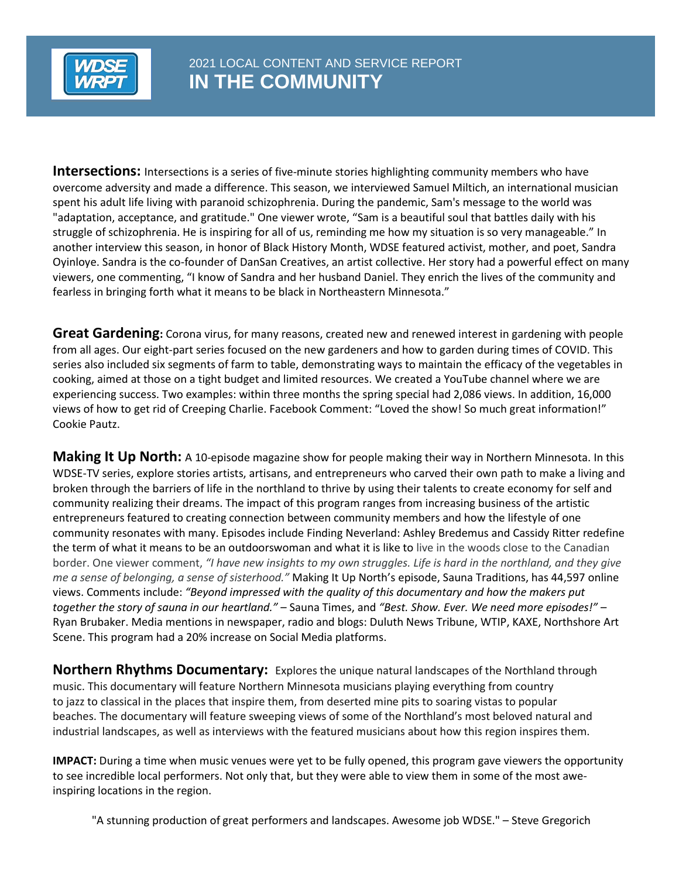

**Intersections:** Intersections is a series of five-minute stories highlighting community members who have overcome adversity and made a difference. This season, we interviewed Samuel Miltich, an international musician spent his adult life living with paranoid schizophrenia. During the pandemic, Sam's message to the world was "adaptation, acceptance, and gratitude." One viewer wrote, "Sam is a beautiful soul that battles daily with his struggle of schizophrenia. He is inspiring for all of us, reminding me how my situation is so very manageable." In another interview this season, in honor of Black History Month, WDSE featured activist, mother, and poet, Sandra Oyinloye. Sandra is the co-founder of DanSan Creatives, an artist collective. Her story had a powerful effect on many viewers, one commenting, "I know of Sandra and her husband Daniel. They enrich the lives of the community and fearless in bringing forth what it means to be black in Northeastern Minnesota."

**Great Gardening:** Corona virus, for many reasons, created new and renewed interest in gardening with people from all ages. Our eight-part series focused on the new gardeners and how to garden during times of COVID. This series also included six segments of farm to table, demonstrating ways to maintain the efficacy of the vegetables in cooking, aimed at those on a tight budget and limited resources. We created a YouTube channel where we are experiencing success. Two examples: within three months the spring special had 2,086 views. In addition, 16,000 views of how to get rid of Creeping Charlie. Facebook Comment: "Loved the show! So much great information!" Cookie Pautz.

**Making It Up North:** A 10-episode magazine show for people making their way in Northern Minnesota. In this WDSE-TV series, explore stories artists, artisans, and entrepreneurs who carved their own path to make a living and broken through the barriers of life in the northland to thrive by using their talents to create economy for self and community realizing their dreams. The impact of this program ranges from increasing business of the artistic entrepreneurs featured to creating connection between community members and how the lifestyle of one community resonates with many. Episodes include Finding Neverland: Ashley Bredemus and Cassidy Ritter redefine the term of what it means to be an outdoorswoman and what it is like to live in the woods close to the Canadian border. One viewer comment, *"I have new insights to my own struggles. Life is hard in the northland, and they give me a sense of belonging, a sense of sisterhood."* Making It Up North's episode, Sauna Traditions, has 44,597 online views. Comments include: *"Beyond impressed with the quality of this documentary and how the makers put together the story of sauna in our heartland."* – Sauna Times, and *"Best. Show. Ever. We need more episodes!"* – Ryan Brubaker. Media mentions in newspaper, radio and blogs: Duluth News Tribune, WTIP, KAXE, Northshore Art Scene. This program had a 20% increase on Social Media platforms.

**Northern Rhythms Documentary:** Explores the unique natural landscapes of the Northland through music. This documentary will feature Northern Minnesota musicians playing everything from country to jazz to classical in the places that inspire them, from deserted mine pits to soaring vistas to popular beaches. The documentary will feature sweeping views of some of the Northland's most beloved natural and industrial landscapes, as well as interviews with the featured musicians about how this region inspires them.  

**IMPACT:** During a time when music venues were yet to be fully opened, this program gave viewers the opportunity to see incredible local performers. Not only that, but they were able to view them in some of the most aweinspiring locations in the region.

"A stunning production of great performers and landscapes. Awesome job WDSE." – Steve Gregorich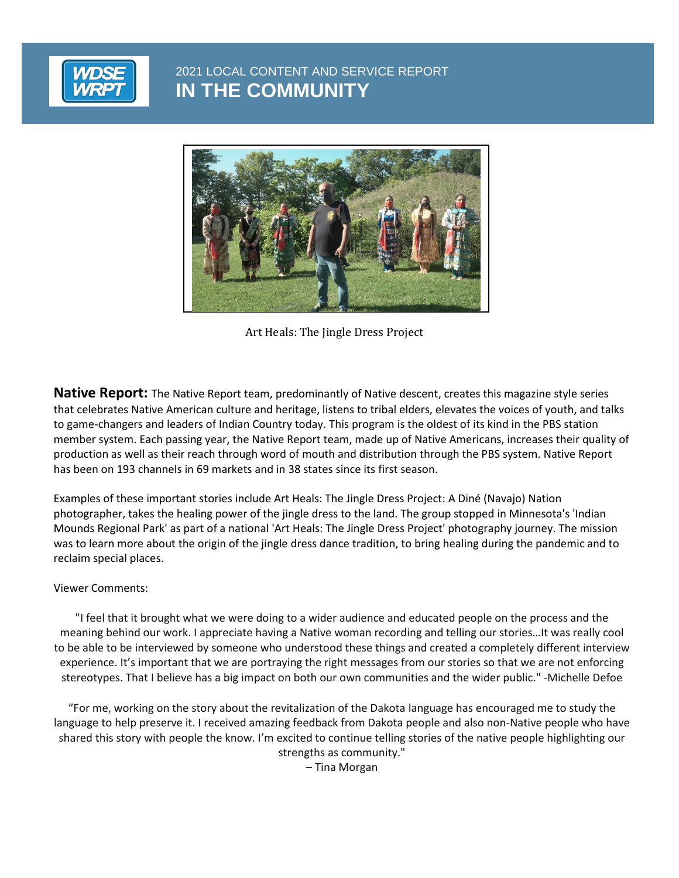

2021 LOCAL CONTENT AND SERVICE REPORT **IN THE COMMUNITY**

**IN THE COMMUNITY**



Art Heals: The Jingle Dress Project

**Native Report:** The Native Report team, predominantly of Native descent, creates this magazine style series that celebrates Native American culture and heritage, listens to tribal elders, elevates the voices of youth, and talks to game-changers and leaders of Indian Country today. This program is the oldest of its kind in the PBS station member system. Each passing year, the Native Report team, made up of Native Americans, increases their quality of production as well as their reach through word of mouth and distribution through the PBS system. Native Report has been on 193 channels in 69 markets and in 38 states since its first season.

Examples of these important stories include Art Heals: The Jingle Dress Project: A Diné (Navajo) Nation photographer, takes the healing power of the jingle dress to the land. The group stopped in Minnesota's 'Indian Mounds Regional Park' as part of a national 'Art Heals: The Jingle Dress Project' photography journey. The mission was to learn more about the origin of the jingle dress dance tradition, to bring healing during the pandemic and to reclaim special places.

#### Viewer Comments:

"I feel that it brought what we were doing to a wider audience and educated people on the process and the meaning behind our work. I appreciate having a Native woman recording and telling our stories…It was really cool to be able to be interviewed by someone who understood these things and created a completely different interview experience. It's important that we are portraying the right messages from our stories so that we are not enforcing stereotypes. That I believe has a big impact on both our own communities and the wider public." -Michelle Defoe

"For me, working on the story about the revitalization of the Dakota language has encouraged me to study the language to help preserve it. I received amazing feedback from Dakota people and also non-Native people who have shared this story with people the know. I'm excited to continue telling stories of the native people highlighting our strengths as community."

– Tina Morgan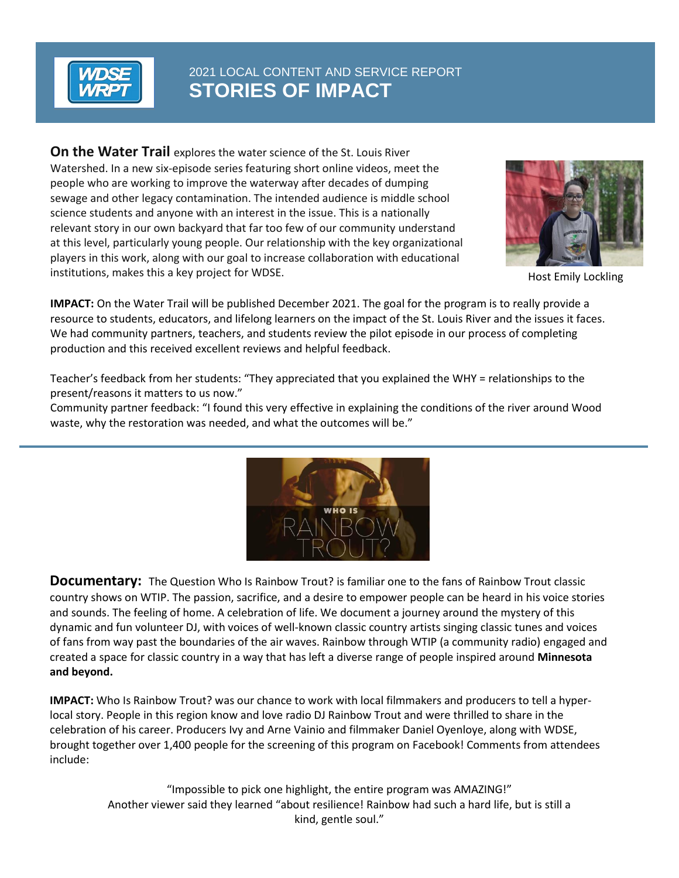

# 2021 LOCAL CONTENT AND SERVICE REPORT **STORIES OF IMPACT**

**On the Water Trail** explores the water science of the St. Louis River Watershed. In a new six-episode series featuring short online videos, meet the people who are working to improve the waterway after decades of dumping sewage and other legacy contamination. The intended audience is middle school science students and anyone with an interest in the issue. This is a nationally relevant story in our own backyard that far too few of our community understand at this level, particularly young people. Our relationship with the key organizational players in this work, along with our goal to increase collaboration with educational institutions, makes this a key project for WDSE. The state of the state of the Host Emily Lockling



**IMPACT:** On the Water Trail will be published December 2021. The goal for the program is to really provide a resource to students, educators, and lifelong learners on the impact of the St. Louis River and the issues it faces. We had community partners, teachers, and students review the pilot episode in our process of completing production and this received excellent reviews and helpful feedback.

Teacher's feedback from her students: "They appreciated that you explained the WHY = relationships to the present/reasons it matters to us now."

Community partner feedback: "I found this very effective in explaining the conditions of the river around Wood waste, why the restoration was needed, and what the outcomes will be."



**Documentary:** The Question Who Is Rainbow Trout? is familiar one to the fans of Rainbow Trout classic country shows on WTIP. The passion, sacrifice, and a desire to empower people can be heard in his voice stories and sounds. The feeling of home. A celebration of life. We document a journey around the mystery of this dynamic and fun volunteer DJ, with voices of well-known classic country artists singing classic tunes and voices of fans from way past the boundaries of the air waves. Rainbow through WTIP (a community radio) engaged and created a space for classic country in a way that has left a diverse range of people inspired around **Minnesota and beyond.**

**IMPACT:** Who Is Rainbow Trout? was our chance to work with local filmmakers and producers to tell a hyperlocal story. People in this region know and love radio DJ Rainbow Trout and were thrilled to share in the celebration of his career. Producers Ivy and Arne Vainio and filmmaker Daniel Oyenloye, along with WDSE, brought together over 1,400 people for the screening of this program on Facebook! Comments from attendees include:

> "Impossible to pick one highlight, the entire program was AMAZING!" Another viewer said they learned "about resilience! Rainbow had such a hard life, but is still a kind, gentle soul."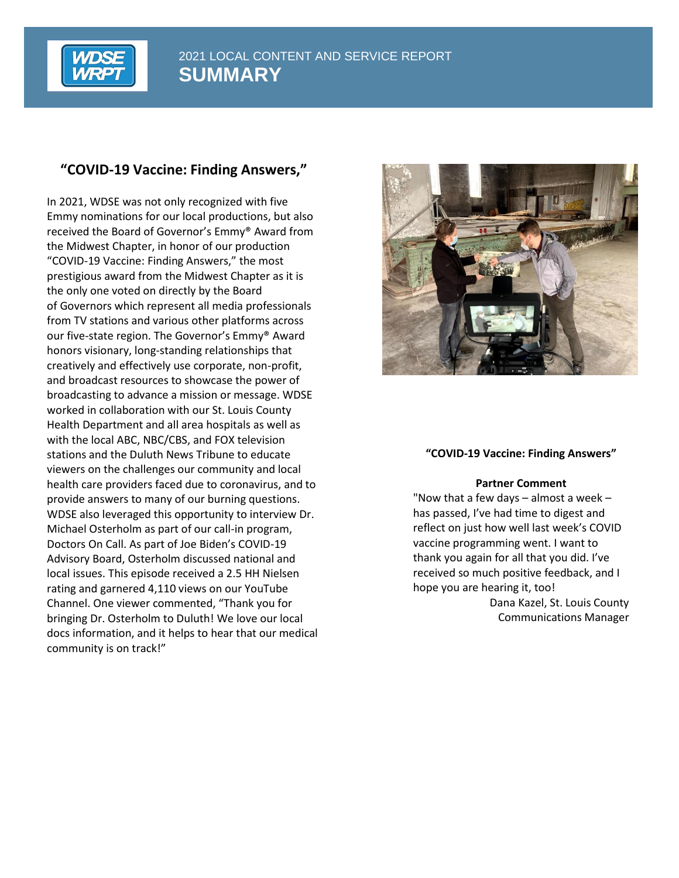

# **"COVID-19 Vaccine: Finding Answers,"**

In 2021, WDSE was not only recognized with five Emmy nominations for our local productions, but also received the Board of Governor's Emmy® Award from the Midwest Chapter, in honor of our production "COVID-19 Vaccine: Finding Answers," the most prestigious award from the Midwest Chapter as it is the only one voted on directly by the Board of Governors which represent all media professionals from TV stations and various other platforms across our five-state region. The Governor's Emmy® Award honors visionary, long-standing relationships that creatively and effectively use corporate, non-profit, and broadcast resources to showcase the power of broadcasting to advance a mission or message. WDSE worked in collaboration with our St. Louis County Health Department and all area hospitals as well as with the local ABC, NBC/CBS, and FOX television stations and the Duluth News Tribune to educate viewers on the challenges our community and local health care providers faced due to coronavirus, and to provide answers to many of our burning questions. WDSE also leveraged this opportunity to interview Dr. Michael Osterholm as part of our call-in program, Doctors On Call. As part of Joe Biden's COVID-19 Advisory Board, Osterholm discussed national and local issues. This episode received a 2.5 HH Nielsen rating and garnered 4,110 views on our YouTube Channel. One viewer commented, "Thank you for bringing Dr. Osterholm to Duluth! We love our local docs information, and it helps to hear that our medical community is on track!"



#### **"COVID-19 Vaccine: Finding Answers"**

#### **Partner Comment**

"Now that a few days  $-$  almost a week  $$ has passed, I've had time to digest and reflect on just how well last week's COVID vaccine programming went. I want to thank you again for all that you did. I've received so much positive feedback, and I hope you are hearing it, too!

> Dana Kazel, St. Louis County Communications Manager